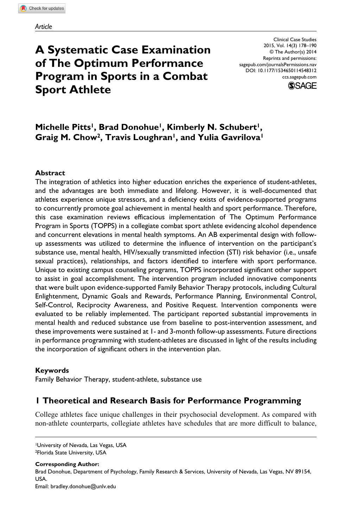# **A Systematic Case Examination of The Optimum Performance Program in Sports in a Combat Sport Athlete**

Clinical Case Studies 2015, Vol. 14(3) 178–190 © The Author(s) 2014 Reprints and permissions: sagepub.com/journalsPermissions.nav DOI: 10.1177/1534650114548312 ccs.sagepub.com



# Michelle Pitts<sup>1</sup>, Brad Donohue<sup>1</sup>, Kimberly N. Schubert<sup>1</sup>, Graig M. Chow<sup>2</sup>, Travis Loughran<sup>1</sup>, and Yulia Gavrilova<sup>1</sup>

#### **Abstract**

The integration of athletics into higher education enriches the experience of student-athletes, and the advantages are both immediate and lifelong. However, it is well-documented that athletes experience unique stressors, and a deficiency exists of evidence-supported programs to concurrently promote goal achievement in mental health and sport performance. Therefore, this case examination reviews efficacious implementation of The Optimum Performance Program in Sports (TOPPS) in a collegiate combat sport athlete evidencing alcohol dependence and concurrent elevations in mental health symptoms. An AB experimental design with followup assessments was utilized to determine the influence of intervention on the participant's substance use, mental health, HIV/sexually transmitted infection (STI) risk behavior (i.e., unsafe sexual practices), relationships, and factors identified to interfere with sport performance. Unique to existing campus counseling programs, TOPPS incorporated significant other support to assist in goal accomplishment. The intervention program included innovative components that were built upon evidence-supported Family Behavior Therapy protocols, including Cultural Enlightenment, Dynamic Goals and Rewards, Performance Planning, Environmental Control, Self-Control, Reciprocity Awareness, and Positive Request. Intervention components were evaluated to be reliably implemented. The participant reported substantial improvements in mental health and reduced substance use from baseline to post-intervention assessment, and these improvements were sustained at 1- and 3-month follow-up assessments. Future directions in performance programming with student-athletes are discussed in light of the results including the incorporation of significant others in the intervention plan.

#### **Keywords**

Family Behavior Therapy, student-athlete, substance use

### **1 Theoretical and Research Basis for Performance Programming**

College athletes face unique challenges in their psychosocial development. As compared with non-athlete counterparts, collegiate athletes have schedules that are more difficult to balance,

**Corresponding Author:** Brad Donohue, Department of Psychology, Family Research & Services, University of Nevada, Las Vegas, NV 89154, USA. Email: bradley.donohue@unlv.edu

<sup>1</sup>University of Nevada, Las Vegas, USA 2Florida State University, USA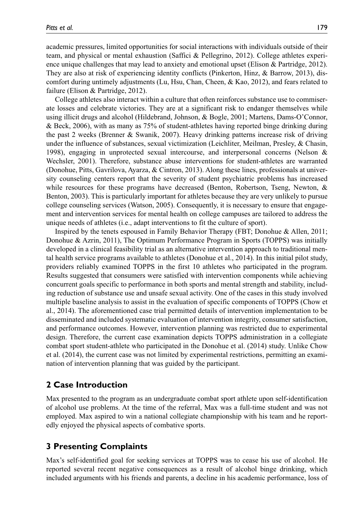academic pressures, limited opportunities for social interactions with individuals outside of their team, and physical or mental exhaustion (Saffici & Pellegrino, 2012). College athletes experience unique challenges that may lead to anxiety and emotional upset (Elison & Partridge, 2012). They are also at risk of experiencing identity conflicts (Pinkerton, Hinz, & Barrow, 2013), discomfort during untimely adjustments (Lu, Hsu, Chan, Cheen, & Kao, 2012), and fears related to failure (Elison & Partridge, 2012).

College athletes also interact within a culture that often reinforces substance use to commiserate losses and celebrate victories. They are at a significant risk to endanger themselves while using illicit drugs and alcohol (Hildebrand, Johnson, & Bogle, 2001; Martens, Dams-O'Connor, & Beck, 2006), with as many as 75% of student-athletes having reported binge drinking during the past 2 weeks (Brenner & Swanik, 2007). Heavy drinking patterns increase risk of driving under the influence of substances, sexual victimization (Leichliter, Meilman, Presley, & Chasin, 1998), engaging in unprotected sexual intercourse, and interpersonal concerns (Nelson & Wechsler, 2001). Therefore, substance abuse interventions for student-athletes are warranted (Donohue, Pitts, Gavrilova, Ayarza, & Cintron, 2013). Along these lines, professionals at university counseling centers report that the severity of student psychiatric problems has increased while resources for these programs have decreased (Benton, Robertson, Tseng, Newton, & Benton, 2003). This is particularly important for athletes because they are very unlikely to pursue college counseling services (Watson, 2005). Consequently, it is necessary to ensure that engagement and intervention services for mental health on college campuses are tailored to address the unique needs of athletes (i.e., adapt interventions to fit the culture of sport).

Inspired by the tenets espoused in Family Behavior Therapy (FBT; Donohue & Allen, 2011; Donohue & Azrin, 2011), The Optimum Performance Program in Sports (TOPPS) was initially developed in a clinical feasibility trial as an alternative intervention approach to traditional mental health service programs available to athletes (Donohue et al., 2014). In this initial pilot study, providers reliably examined TOPPS in the first 10 athletes who participated in the program. Results suggested that consumers were satisfied with intervention components while achieving concurrent goals specific to performance in both sports and mental strength and stability, including reduction of substance use and unsafe sexual activity. One of the cases in this study involved multiple baseline analysis to assist in the evaluation of specific components of TOPPS (Chow et al., 2014). The aforementioned case trial permitted details of intervention implementation to be disseminated and included systematic evaluation of intervention integrity, consumer satisfaction, and performance outcomes. However, intervention planning was restricted due to experimental design. Therefore, the current case examination depicts TOPPS administration in a collegiate combat sport student-athlete who participated in the Donohue et al. (2014) study. Unlike Chow et al. (2014), the current case was not limited by experimental restrictions, permitting an examination of intervention planning that was guided by the participant.

### **2 Case Introduction**

Max presented to the program as an undergraduate combat sport athlete upon self-identification of alcohol use problems. At the time of the referral, Max was a full-time student and was not employed. Max aspired to win a national collegiate championship with his team and he reportedly enjoyed the physical aspects of combative sports.

### **3 Presenting Complaints**

Max's self-identified goal for seeking services at TOPPS was to cease his use of alcohol. He reported several recent negative consequences as a result of alcohol binge drinking, which included arguments with his friends and parents, a decline in his academic performance, loss of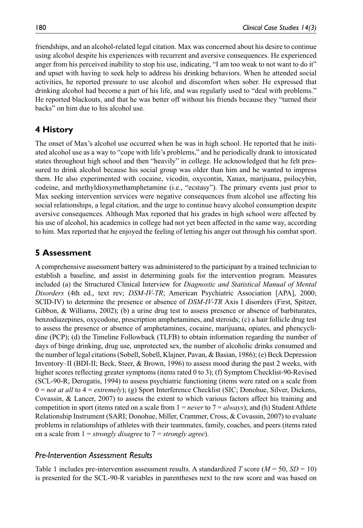friendships, and an alcohol-related legal citation. Max was concerned about his desire to continue using alcohol despite his experiences with recurrent and aversive consequences. He experienced anger from his perceived inability to stop his use, indicating, "I am too weak to not want to do it" and upset with having to seek help to address his drinking behaviors. When he attended social activities, he reported pressure to use alcohol and discomfort when sober. He expressed that drinking alcohol had become a part of his life, and was regularly used to "deal with problems." He reported blackouts, and that he was better off without his friends because they "turned their backs" on him due to his alcohol use.

# **4 History**

The onset of Max's alcohol use occurred when he was in high school. He reported that he initiated alcohol use as a way to "cope with life's problems," and he periodically drank to intoxicated states throughout high school and then "heavily" in college. He acknowledged that he felt pressured to drink alcohol because his social group was older than him and he wanted to impress them. He also experimented with cocaine, vicodin, oxycontin, Xanax, marijuana, psilocybin, codeine, and methyldioxymethamphetamine (i.e., "ecstasy"). The primary events just prior to Max seeking intervention services were negative consequences from alcohol use affecting his social relationships, a legal citation, and the urge to continue heavy alcohol consumption despite aversive consequences. Although Max reported that his grades in high school were affected by his use of alcohol, his academics in college had not yet been affected in the same way, according to him. Max reported that he enjoyed the feeling of letting his anger out through his combat sport.

# **5 Assessment**

A comprehensive assessment battery was administered to the participant by a trained technician to establish a baseline, and assist in determining goals for the intervention program. Measures included (a) the Structured Clinical Interview for *Diagnostic and Statistical Manual of Mental Disorders* (4th ed., text rev; *DSM-IV-TR*; American Psychiatric Association [APA], 2000; SCID-IV) to determine the presence or absence of *DSM-IV-TR* Axis I disorders (First, Spitzer, Gibbon, & Williams, 2002); (b) a urine drug test to assess presence or absence of barbiturates, benzodiazepines, oxycodone, prescription amphetamines, and steroids; (c) a hair follicle drug test to assess the presence or absence of amphetamines, cocaine, marijuana, opiates, and phencyclidine (PCP); (d) the Timeline Followback (TLFB) to obtain information regarding the number of days of binge drinking, drug use, unprotected sex, the number of alcoholic drinks consumed and the number of legal citations (Sobell, Sobell, Klajner, Pavan, & Basian, 1986); (e) Beck Depression Inventory–II (BDI-II; Beck, Steer, & Brown, 1996) to assess mood during the past 2 weeks, with higher scores reflecting greater symptoms (items rated 0 to 3); (f) Symptom Checklist-90-Revised (SCL-90-R; Derogatis, 1994) to assess psychiatric functioning (items were rated on a scale from 0 = *not at all* to 4 = *extremely*); (g) Sport Interference Checklist (SIC; Donohue, Silver, Dickens, Covassin, & Lancer, 2007) to assess the extent to which various factors affect his training and competition in sport (items rated on a scale from 1 = *never* to 7 = *always*); and (h) Student Athlete Relationship Instrument (SARI; Donohue, Miller, Crammer, Cross, & Covassin, 2007) to evaluate problems in relationships of athletes with their teammates, family, coaches, and peers (items rated on a scale from 1 = *strongly disagree* to 7 = *strongly agree*).

#### *Pre-Intervention Assessment Results*

Table 1 includes pre-intervention assessment results. A standardized *T* score ( $M = 50$ ,  $SD = 10$ ) is presented for the SCL-90-R variables in parentheses next to the raw score and was based on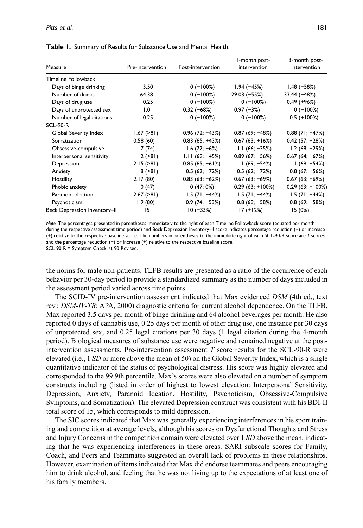| Measure                      | Pre-intervention | Post-intervention | I-month post-<br>intervention | 3-month post-<br>intervention |
|------------------------------|------------------|-------------------|-------------------------------|-------------------------------|
| <b>Timeline Followback</b>   |                  |                   |                               |                               |
| Days of binge drinking       | 3.50             | $0$ (-100%)       | $1.94(-45%)$                  | $1.48(-58%)$                  |
| Number of drinks             | 64.38            | $0$ (-100%)       | 29.03 (-55%)                  | $33.44 (-48%)$                |
| Days of drug use             | 0.25             | $0(-100%)$        | $0$ (-100%)                   | $0.49 (+96%)$                 |
| Days of unprotected sex      | 1.0              | $0.32(-68%)$      | $0.97(-3%)$                   | $0$ (-100%)                   |
| Number of legal citations    | 0.25             | $0$ (-100%)       | $0$ (-100%)                   | $0.5$ (+100%)                 |
| <b>SCL-90-R</b>              |                  |                   |                               |                               |
| Global Severity Index        | $1.67$ ( $>81$ ) | $0.96(72; -43%)$  | $0.87(69; -48%)$              | $0.88(71; -47%)$              |
| Somatization                 | 0.58(60)         | $0.83(65; +43%)$  | $0.67(63; +16%)$              | $0.42(57; -28%)$              |
| Obsessive-compulsive         | 1.7(74)          | $1.6(72; -6%)$    | $1.1(66; -35%)$               | $1.2(68; -29%)$               |
| Interpersonal sensitivity    | 2( >81)          | $1.11(69; -45%)$  | $0.89(67; -56%)$              | $0.67(64; -67%)$              |
| Depression                   | 2.15(>81)        | $0.85(65; -61%)$  | $1(69; -54%)$                 | $1(69; -54%)$                 |
| Anxiety                      | 1.8(>81)         | $0.5(62; -72%)$   | $0.5(62; -72%)$               | $0.8(67; -56%)$               |
| Hostility                    | 2.17(80)         | $0.83(63; -62%)$  | $0.67(63; -69%)$              | $0.67(63; -69%)$              |
| Phobic anxiety               | 0(47)            | 0(47;0%)          | $0.29(63; +100%)$             | $0.29(63; +100%)$             |
| Paranoid ideation            | $2.67$ ( $>81$ ) | $1.5(71; -44%)$   | $1.5(71; -44%)$               | $1.5(71; -44%)$               |
| Psychoticism                 | 1.9(80)          | $0.9(74; -53%)$   | $0.8(69; -58%)$               | $0.8(69; -58%)$               |
| Beck Depression Inventory-II | 15               | $10(-33%)$        | I7 (+12%)                     | 15(0%)                        |

**Table 1.** Summary of Results for Substance Use and Mental Health.

*Note.* The percentages presented in parentheses immediately to the right of each Timeline Followback score (equated per month during the respective assessment time period) and Beck Depression Inventory–II score indicates percentage reduction (−) or increase (+) relative to the respective baseline score. The numbers in parentheses to the immediate right of each SCL-90-R score are *T* scores and the percentage reduction (−) or increase (+) relative to the respective baseline score.

SCL-90-R = Symptom Checklist-90-Revised.

the norms for male non-patients. TLFB results are presented as a ratio of the occurrence of each behavior per 30-day period to provide a standardized summary as the number of days included in the assessment period varied across time points.

The SCID-IV pre-intervention assessment indicated that Max evidenced *DSM* (4th ed., text rev.; *DSM-IV-TR*; APA, 2000) diagnostic criteria for current alcohol dependence. On the TLFB, Max reported 3.5 days per month of binge drinking and 64 alcohol beverages per month. He also reported 0 days of cannabis use, 0.25 days per month of other drug use, one instance per 30 days of unprotected sex, and 0.25 legal citations per 30 days (1 legal citation during the 4-month period). Biological measures of substance use were negative and remained negative at the postintervention assessments. Pre-intervention assessment *T* score results for the SCL-90-R were elevated (i.e., 1 *SD* or more above the mean of 50) on the Global Severity Index, which is a single quantitative indicator of the status of psychological distress. His score was highly elevated and corresponded to the 99.9th percentile. Max's scores were also elevated on a number of symptom constructs including (listed in order of highest to lowest elevation: Interpersonal Sensitivity, Depression, Anxiety, Paranoid Ideation, Hostility, Psychoticism, Obsessive-Compulsive Symptoms, and Somatization). The elevated Depression construct was consistent with his BDI-II total score of 15, which corresponds to mild depression.

The SIC scores indicated that Max was generally experiencing interferences in his sport training and competition at average levels, although his scores on Dysfunctional Thoughts and Stress and Injury Concerns in the competition domain were elevated over 1 *SD* above the mean, indicating that he was experiencing interferences in these areas. SARI subscale scores for Family, Coach, and Peers and Teammates suggested an overall lack of problems in these relationships. However, examination of items indicated that Max did endorse teammates and peers encouraging him to drink alcohol, and feeling that he was not living up to the expectations of at least one of his family members.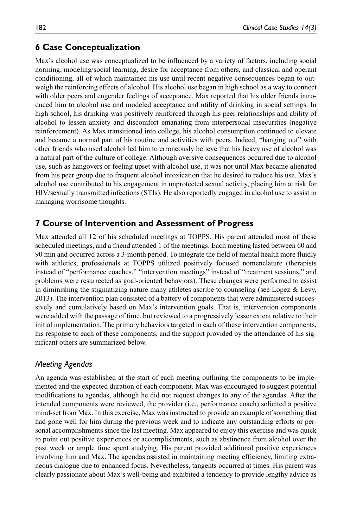### **6 Case Conceptualization**

Max's alcohol use was conceptualized to be influenced by a variety of factors, including social norming, modeling/social learning, desire for acceptance from others, and classical and operant conditioning, all of which maintained his use until recent negative consequences began to outweigh the reinforcing effects of alcohol. His alcohol use began in high school as a way to connect with older peers and engender feelings of acceptance. Max reported that his older friends introduced him to alcohol use and modeled acceptance and utility of drinking in social settings. In high school, his drinking was positively reinforced through his peer relationships and ability of alcohol to lessen anxiety and discomfort emanating from interpersonal insecurities (negative reinforcement). As Max transitioned into college, his alcohol consumption continued to elevate and became a normal part of his routine and activities with peers. Indeed, "hanging out" with other friends who used alcohol led him to erroneously believe that his heavy use of alcohol was a natural part of the culture of college. Although aversive consequences occurred due to alcohol use, such as hangovers or feeling upset with alcohol use, it was not until Max became alienated from his peer group due to frequent alcohol intoxication that he desired to reduce his use. Max's alcohol use contributed to his engagement in unprotected sexual activity, placing him at risk for HIV/sexually transmitted infections (STIs). He also reportedly engaged in alcohol use to assist in managing worrisome thoughts.

### **7 Course of Intervention and Assessment of Progress**

Max attended all 12 of his scheduled meetings at TOPPS. His parent attended most of these scheduled meetings, and a friend attended 1 of the meetings. Each meeting lasted between 60 and 90 min and occurred across a 3-month period. To integrate the field of mental health more fluidly with athletics, professionals at TOPPS utilized positively focused nomenclature (therapists instead of "performance coaches," "intervention meetings" instead of "treatment sessions," and problems were resurrected as goal-oriented behaviors). These changes were performed to assist in diminishing the stigmatizing nature many athletes ascribe to counseling (see Lopez & Levy, 2013). The intervention plan consisted of a battery of components that were administered successively and cumulatively based on Max's intervention goals. That is, intervention components were added with the passage of time, but reviewed to a progressively lesser extent relative to their initial implementation. The primary behaviors targeted in each of these intervention components, his response to each of these components, and the support provided by the attendance of his significant others are summarized below.

### *Meeting Agendas*

An agenda was established at the start of each meeting outlining the components to be implemented and the expected duration of each component. Max was encouraged to suggest potential modifications to agendas, although he did not request changes to any of the agendas. After the intended components were reviewed, the provider (i.e., performance coach) solicited a positive mind-set from Max. In this exercise, Max was instructed to provide an example of something that had gone well for him during the previous week and to indicate any outstanding efforts or personal accomplishments since the last meeting. Max appeared to enjoy this exercise and was quick to point out positive experiences or accomplishments, such as abstinence from alcohol over the past week or ample time spent studying. His parent provided additional positive experiences involving him and Max. The agendas assisted in maintaining meeting efficiency, limiting extraneous dialogue due to enhanced focus. Nevertheless, tangents occurred at times. His parent was clearly passionate about Max's well-being and exhibited a tendency to provide lengthy advice as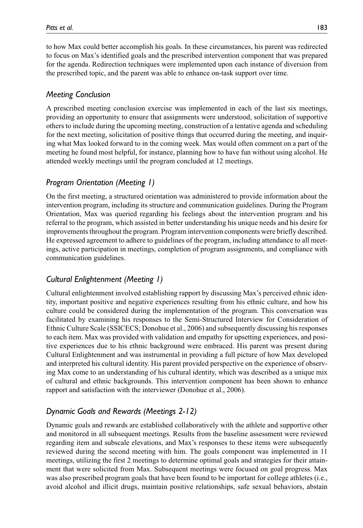to how Max could better accomplish his goals. In these circumstances, his parent was redirected to focus on Max's identified goals and the prescribed intervention component that was prepared for the agenda. Redirection techniques were implemented upon each instance of diversion from the prescribed topic, and the parent was able to enhance on-task support over time.

# *Meeting Conclusion*

A prescribed meeting conclusion exercise was implemented in each of the last six meetings, providing an opportunity to ensure that assignments were understood, solicitation of supportive others to include during the upcoming meeting, construction of a tentative agenda and scheduling for the next meeting, solicitation of positive things that occurred during the meeting, and inquiring what Max looked forward to in the coming week. Max would often comment on a part of the meeting he found most helpful, for instance, planning how to have fun without using alcohol. He attended weekly meetings until the program concluded at 12 meetings.

# *Program Orientation (Meeting 1)*

On the first meeting, a structured orientation was administered to provide information about the intervention program, including its structure and communication guidelines. During the Program Orientation, Max was queried regarding his feelings about the intervention program and his referral to the program, which assisted in better understanding his unique needs and his desire for improvements throughout the program. Program intervention components were briefly described. He expressed agreement to adhere to guidelines of the program, including attendance to all meetings, active participation in meetings, completion of program assignments, and compliance with communication guidelines.

# *Cultural Enlightenment (Meeting 1)*

Cultural enlightenment involved establishing rapport by discussing Max's perceived ethnic identity, important positive and negative experiences resulting from his ethnic culture, and how his culture could be considered during the implementation of the program. This conversation was facilitated by examining his responses to the Semi-Structured Interview for Consideration of Ethnic Culture Scale (SSICECS; Donohue et al., 2006) and subsequently discussing his responses to each item. Max was provided with validation and empathy for upsetting experiences, and positive experiences due to his ethnic background were embraced. His parent was present during Cultural Enlightenment and was instrumental in providing a full picture of how Max developed and interpreted his cultural identity. His parent provided perspective on the experience of observing Max come to an understanding of his cultural identity, which was described as a unique mix of cultural and ethnic backgrounds. This intervention component has been shown to enhance rapport and satisfaction with the interviewer (Donohue et al., 2006).

### *Dynamic Goals and Rewards (Meetings 2-12)*

Dynamic goals and rewards are established collaboratively with the athlete and supportive other and monitored in all subsequent meetings. Results from the baseline assessment were reviewed regarding item and subscale elevations, and Max's responses to these items were subsequently reviewed during the second meeting with him. The goals component was implemented in 11 meetings, utilizing the first 2 meetings to determine optimal goals and strategies for their attainment that were solicited from Max. Subsequent meetings were focused on goal progress. Max was also prescribed program goals that have been found to be important for college athletes (i.e., avoid alcohol and illicit drugs, maintain positive relationships, safe sexual behaviors, abstain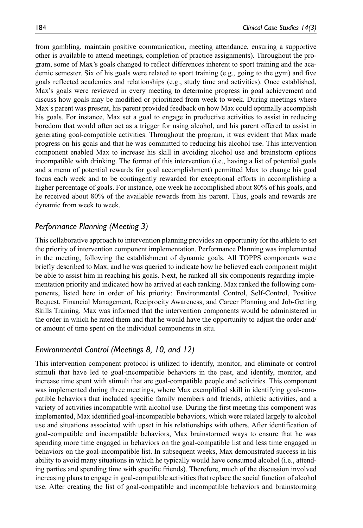from gambling, maintain positive communication, meeting attendance, ensuring a supportive other is available to attend meetings, completion of practice assignments). Throughout the program, some of Max's goals changed to reflect differences inherent to sport training and the academic semester. Six of his goals were related to sport training (e.g., going to the gym) and five goals reflected academics and relationships (e.g., study time and activities). Once established, Max's goals were reviewed in every meeting to determine progress in goal achievement and discuss how goals may be modified or prioritized from week to week. During meetings where Max's parent was present, his parent provided feedback on how Max could optimally accomplish his goals. For instance, Max set a goal to engage in productive activities to assist in reducing boredom that would often act as a trigger for using alcohol, and his parent offered to assist in generating goal-compatible activities. Throughout the program, it was evident that Max made progress on his goals and that he was committed to reducing his alcohol use. This intervention component enabled Max to increase his skill in avoiding alcohol use and brainstorm options incompatible with drinking. The format of this intervention (i.e., having a list of potential goals and a menu of potential rewards for goal accomplishment) permitted Max to change his goal focus each week and to be contingently rewarded for exceptional efforts in accomplishing a higher percentage of goals. For instance, one week he accomplished about 80% of his goals, and he received about 80% of the available rewards from his parent. Thus, goals and rewards are dynamic from week to week.

#### *Performance Planning (Meeting 3)*

This collaborative approach to intervention planning provides an opportunity for the athlete to set the priority of intervention component implementation. Performance Planning was implemented in the meeting, following the establishment of dynamic goals. All TOPPS components were briefly described to Max, and he was queried to indicate how he believed each component might be able to assist him in reaching his goals. Next, he ranked all six components regarding implementation priority and indicated how he arrived at each ranking. Max ranked the following components, listed here in order of his priority: Environmental Control, Self-Control, Positive Request, Financial Management, Reciprocity Awareness, and Career Planning and Job-Getting Skills Training. Max was informed that the intervention components would be administered in the order in which he rated them and that he would have the opportunity to adjust the order and/ or amount of time spent on the individual components in situ.

#### *Environmental Control (Meetings 8, 10, and 12)*

This intervention component protocol is utilized to identify, monitor, and eliminate or control stimuli that have led to goal-incompatible behaviors in the past, and identify, monitor, and increase time spent with stimuli that are goal-compatible people and activities. This component was implemented during three meetings, where Max exemplified skill in identifying goal-compatible behaviors that included specific family members and friends, athletic activities, and a variety of activities incompatible with alcohol use. During the first meeting this component was implemented, Max identified goal-incompatible behaviors, which were related largely to alcohol use and situations associated with upset in his relationships with others. After identification of goal-compatible and incompatible behaviors, Max brainstormed ways to ensure that he was spending more time engaged in behaviors on the goal-compatible list and less time engaged in behaviors on the goal-incompatible list. In subsequent weeks, Max demonstrated success in his ability to avoid many situations in which he typically would have consumed alcohol (i.e., attending parties and spending time with specific friends). Therefore, much of the discussion involved increasing plans to engage in goal-compatible activities that replace the social function of alcohol use. After creating the list of goal-compatible and incompatible behaviors and brainstorming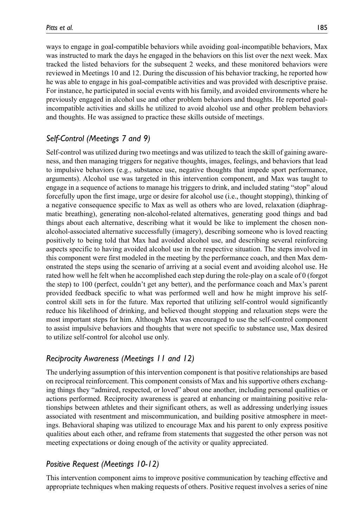ways to engage in goal-compatible behaviors while avoiding goal-incompatible behaviors, Max was instructed to mark the days he engaged in the behaviors on this list over the next week. Max tracked the listed behaviors for the subsequent 2 weeks, and these monitored behaviors were reviewed in Meetings 10 and 12. During the discussion of his behavior tracking, he reported how he was able to engage in his goal-compatible activities and was provided with descriptive praise. For instance, he participated in social events with his family, and avoided environments where he previously engaged in alcohol use and other problem behaviors and thoughts. He reported goalincompatible activities and skills he utilized to avoid alcohol use and other problem behaviors and thoughts. He was assigned to practice these skills outside of meetings.

# *Self-Control (Meetings 7 and 9)*

Self-control was utilized during two meetings and was utilized to teach the skill of gaining awareness, and then managing triggers for negative thoughts, images, feelings, and behaviors that lead to impulsive behaviors (e.g., substance use, negative thoughts that impede sport performance, arguments). Alcohol use was targeted in this intervention component, and Max was taught to engage in a sequence of actions to manage his triggers to drink, and included stating "stop" aloud forcefully upon the first image, urge or desire for alcohol use (i.e., thought stopping), thinking of a negative consequence specific to Max as well as others who are loved, relaxation (diaphragmatic breathing), generating non-alcohol-related alternatives, generating good things and bad things about each alternative, describing what it would be like to implement the chosen nonalcohol-associated alternative successfully (imagery), describing someone who is loved reacting positively to being told that Max had avoided alcohol use, and describing several reinforcing aspects specific to having avoided alcohol use in the respective situation. The steps involved in this component were first modeled in the meeting by the performance coach, and then Max demonstrated the steps using the scenario of arriving at a social event and avoiding alcohol use. He rated how well he felt when he accomplished each step during the role-play on a scale of 0 (forgot the step) to 100 (perfect, couldn't get any better), and the performance coach and Max's parent provided feedback specific to what was performed well and how he might improve his selfcontrol skill sets in for the future. Max reported that utilizing self-control would significantly reduce his likelihood of drinking, and believed thought stopping and relaxation steps were the most important steps for him. Although Max was encouraged to use the self-control component to assist impulsive behaviors and thoughts that were not specific to substance use, Max desired to utilize self-control for alcohol use only.

### *Reciprocity Awareness (Meetings 11 and 12)*

The underlying assumption of this intervention component is that positive relationships are based on reciprocal reinforcement. This component consists of Max and his supportive others exchanging things they "admired, respected, or loved" about one another, including personal qualities or actions performed. Reciprocity awareness is geared at enhancing or maintaining positive relationships between athletes and their significant others, as well as addressing underlying issues associated with resentment and miscommunication, and building positive atmosphere in meetings. Behavioral shaping was utilized to encourage Max and his parent to only express positive qualities about each other, and reframe from statements that suggested the other person was not meeting expectations or doing enough of the activity or quality appreciated.

### *Positive Request (Meetings 10-12)*

This intervention component aims to improve positive communication by teaching effective and appropriate techniques when making requests of others. Positive request involves a series of nine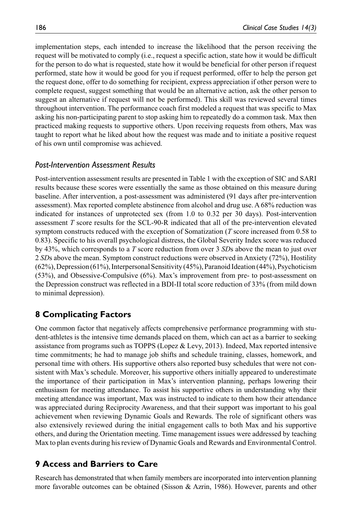implementation steps, each intended to increase the likelihood that the person receiving the request will be motivated to comply (i.e., request a specific action, state how it would be difficult for the person to do what is requested, state how it would be beneficial for other person if request performed, state how it would be good for you if request performed, offer to help the person get the request done, offer to do something for recipient, express appreciation if other person were to complete request, suggest something that would be an alternative action, ask the other person to suggest an alternative if request will not be performed). This skill was reviewed several times throughout intervention. The performance coach first modeled a request that was specific to Max asking his non-participating parent to stop asking him to repeatedly do a common task. Max then practiced making requests to supportive others. Upon receiving requests from others, Max was taught to report what he liked about how the request was made and to initiate a positive request of his own until compromise was achieved.

#### *Post-Intervention Assessment Results*

Post-intervention assessment results are presented in Table 1 with the exception of SIC and SARI results because these scores were essentially the same as those obtained on this measure during baseline. After intervention, a post-assessment was administered (91 days after pre-intervention assessment). Max reported complete abstinence from alcohol and drug use. A 68% reduction was indicated for instances of unprotected sex (from 1.0 to 0.32 per 30 days). Post-intervention assessment *T* score results for the SCL-90-R indicated that all of the pre-intervention elevated symptom constructs reduced with the exception of Somatization (*T* score increased from 0.58 to 0.83). Specific to his overall psychological distress, the Global Severity Index score was reduced by 43%, which corresponds to a *T* score reduction from over 3 *SD*s above the mean to just over 2 *SD*s above the mean. Symptom construct reductions were observed in Anxiety (72%), Hostility (62%), Depression (61%), Interpersonal Sensitivity (45%), Paranoid Ideation (44%), Psychoticism (53%), and Obsessive-Compulsive (6%). Max's improvement from pre- to post-assessment on the Depression construct was reflected in a BDI-II total score reduction of 33% (from mild down to minimal depression).

### **8 Complicating Factors**

One common factor that negatively affects comprehensive performance programming with student-athletes is the intensive time demands placed on them, which can act as a barrier to seeking assistance from programs such as TOPPS (Lopez & Levy, 2013). Indeed, Max reported intensive time commitments; he had to manage job shifts and schedule training, classes, homework, and personal time with others. His supportive others also reported busy schedules that were not consistent with Max's schedule. Moreover, his supportive others initially appeared to underestimate the importance of their participation in Max's intervention planning, perhaps lowering their enthusiasm for meeting attendance. To assist his supportive others in understanding why their meeting attendance was important, Max was instructed to indicate to them how their attendance was appreciated during Reciprocity Awareness, and that their support was important to his goal achievement when reviewing Dynamic Goals and Rewards. The role of significant others was also extensively reviewed during the initial engagement calls to both Max and his supportive others, and during the Orientation meeting. Time management issues were addressed by teaching Max to plan events during his review of Dynamic Goals and Rewards and Environmental Control.

### **9 Access and Barriers to Care**

Research has demonstrated that when family members are incorporated into intervention planning more favorable outcomes can be obtained (Sisson & Azrin, 1986). However, parents and other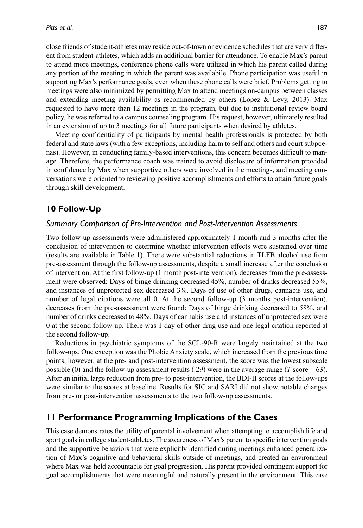close friends of student-athletes may reside out-of-town or evidence schedules that are very different from student-athletes, which adds an additional barrier for attendance. To enable Max's parent to attend more meetings, conference phone calls were utilized in which his parent called during any portion of the meeting in which the parent was availabile. Phone participation was useful in supporting Max's performance goals, even when these phone calls were brief. Problems getting to meetings were also minimized by permitting Max to attend meetings on-campus between classes and extending meeting availability as recommended by others (Lopez  $\&$  Levy, 2013). Max requested to have more than 12 meetings in the program, but due to institutional review board policy, he was referred to a campus counseling program. His request, however, ultimately resulted in an extension of up to 3 meetings for all future participants when desired by athletes.

Meeting confidentiality of participants by mental health professionals is protected by both federal and state laws (with a few exceptions, including harm to self and others and court subpoenas). However, in conducting family-based interventions, this concern becomes difficult to manage. Therefore, the performance coach was trained to avoid disclosure of information provided in confidence by Max when supportive others were involved in the meetings, and meeting conversations were oriented to reviewing positive accomplishments and efforts to attain future goals through skill development.

### **10 Follow-Up**

#### *Summary Comparison of Pre-Intervention and Post-Intervention Assessments*

Two follow-up assessments were administered approximately 1 month and 3 months after the conclusion of intervention to determine whether intervention effects were sustained over time (results are available in Table 1). There were substantial reductions in TLFB alcohol use from pre-assessment through the follow-up assessments, despite a small increase after the conclusion of intervention. At the first follow-up (1 month post-intervention), decreases from the pre-assessment were observed: Days of binge drinking decreased 45%, number of drinks decreased 55%, and instances of unprotected sex decreased 3%. Days of use of other drugs, cannabis use, and number of legal citations were all 0. At the second follow-up (3 months post-intervention), decreases from the pre-assessment were found: Days of binge drinking decreased to 58%, and number of drinks decreased to 48%. Days of cannabis use and instances of unprotected sex were 0 at the second follow-up. There was 1 day of other drug use and one legal citation reported at the second follow-up.

Reductions in psychiatric symptoms of the SCL-90-R were largely maintained at the two follow-ups. One exception was the Phobic Anxiety scale, which increased from the previous time points; however, at the pre- and post-intervention assessment, the score was the lowest subscale possible (0) and the follow-up assessment results (.29) were in the average range (*T* score = 63). After an initial large reduction from pre- to post-intervention, the BDI-II scores at the follow-ups were similar to the scores at baseline. Results for SIC and SARI did not show notable changes from pre- or post-intervention assessments to the two follow-up assessments.

#### **11 Performance Programming Implications of the Cases**

This case demonstrates the utility of parental involvement when attempting to accomplish life and sport goals in college student-athletes. The awareness of Max's parent to specific intervention goals and the supportive behaviors that were explicitly identified during meetings enhanced generalization of Max's cognitive and behavioral skills outside of meetings, and created an environment where Max was held accountable for goal progression. His parent provided contingent support for goal accomplishments that were meaningful and naturally present in the environment. This case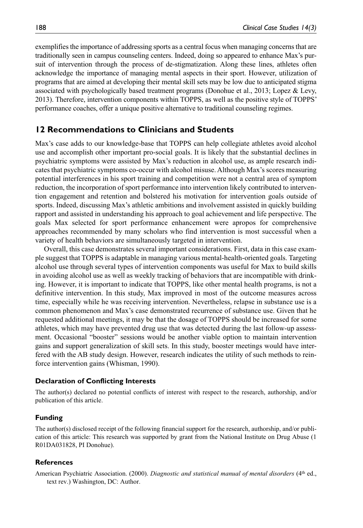exemplifies the importance of addressing sports as a central focus when managing concerns that are traditionally seen in campus counseling centers. Indeed, doing so appeared to enhance Max's pursuit of intervention through the process of de-stigmatization. Along these lines, athletes often acknowledge the importance of managing mental aspects in their sport. However, utilization of programs that are aimed at developing their mental skill sets may be low due to anticipated stigma associated with psychologically based treatment programs (Donohue et al., 2013; Lopez & Levy, 2013). Therefore, intervention components within TOPPS, as well as the positive style of TOPPS' performance coaches, offer a unique positive alternative to traditional counseling regimes.

### **12 Recommendations to Clinicians and Students**

Max's case adds to our knowledge-base that TOPPS can help collegiate athletes avoid alcohol use and accomplish other important pro-social goals. It is likely that the substantial declines in psychiatric symptoms were assisted by Max's reduction in alcohol use, as ample research indicates that psychiatric symptoms co-occur with alcohol misuse. Although Max's scores measuring potential interferences in his sport training and competition were not a central area of symptom reduction, the incorporation of sport performance into intervention likely contributed to intervention engagement and retention and bolstered his motivation for intervention goals outside of sports. Indeed, discussing Max's athletic ambitions and involvement assisted in quickly building rapport and assisted in understanding his approach to goal achievement and life perspective. The goals Max selected for sport performance enhancement were apropos for comprehensive approaches recommended by many scholars who find intervention is most successful when a variety of health behaviors are simultaneously targeted in intervention.

Overall, this case demonstrates several important considerations. First, data in this case example suggest that TOPPS is adaptable in managing various mental-health-oriented goals. Targeting alcohol use through several types of intervention components was useful for Max to build skills in avoiding alcohol use as well as weekly tracking of behaviors that are incompatible with drinking. However, it is important to indicate that TOPPS, like other mental health programs, is not a definitive intervention. In this study, Max improved in most of the outcome measures across time, especially while he was receiving intervention. Nevertheless, relapse in substance use is a common phenomenon and Max's case demonstrated recurrence of substance use. Given that he requested additional meetings, it may be that the dosage of TOPPS should be increased for some athletes, which may have prevented drug use that was detected during the last follow-up assessment. Occasional "booster" sessions would be another viable option to maintain intervention gains and support generalization of skill sets. In this study, booster meetings would have interfered with the AB study design. However, research indicates the utility of such methods to reinforce intervention gains (Whisman, 1990).

#### **Declaration of Conflicting Interests**

The author(s) declared no potential conflicts of interest with respect to the research, authorship, and/or publication of this article.

#### **Funding**

The author(s) disclosed receipt of the following financial support for the research, authorship, and/or publication of this article: This research was supported by grant from the National Institute on Drug Abuse (1 R01DA031828, PI Donohue).

#### **References**

American Psychiatric Association. (2000). *Diagnostic and statistical manual of mental disorders* (4<sup>th</sup> ed., text rev.) Washington, DC: Author.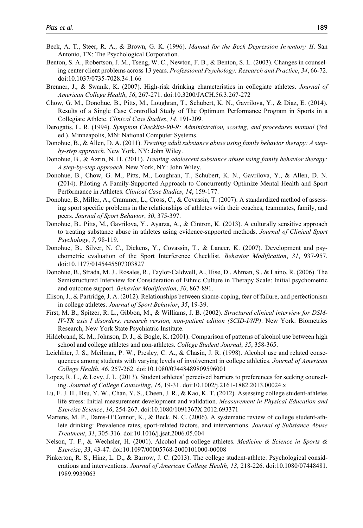- Beck, A. T., Steer, R. A., & Brown, G. K. (1996). *Manual for the Beck Depression Inventory–II*. San Antonio, TX: The Psychological Corporation.
- Benton, S. A., Robertson, J. M., Tseng, W. C., Newton, F. B., & Benton, S. L. (2003). Changes in counseling center client problems across 13 years. *Professional Psychology: Research and Practice*, *34*, 66-72. doi:10.1037/0735-7028.34.1.66
- Brenner, J., & Swanik, K. (2007). High-risk drinking characteristics in collegiate athletes. *Journal of American College Health*, *56*, 267-271. doi:10.3200/JACH.56.3.267-272
- Chow, G. M., Donohue, B., Pitts, M., Loughran, T., Schubert, K. N., Gavrilova, Y., & Diaz, E. (2014). Results of a Single Case Controlled Study of The Optimum Performance Program in Sports in a Collegiate Athlete. *Clinical Case Studies*, *14*, 191-209.
- Derogatis, L. R. (1994). *Symptom Checklist-90-R: Administration, scoring, and procedures manual* (3rd ed.). Minneapolis, MN: National Computer Systems.
- Donohue, B., & Allen, D. A. (2011). *Treating adult substance abuse using family behavior therapy: A stepby-step approach*. New York, NY: John Wiley.
- Donohue, B., & Azrin, N. H. (2011). *Treating adolescent substance abuse using family behavior therapy: A step-by-step approach*. New York, NY: John Wiley.
- Donohue, B., Chow, G. M., Pitts, M., Loughran, T., Schubert, K. N., Gavrilova, Y., & Allen, D. N. (2014). Piloting A Family-Supported Approach to Concurrently Optimize Mental Health and Sport Performance in Athletes. *Clinical Case Studies*, *14*, 159-177.
- Donohue, B., Miller, A., Crammer, L., Cross, C., & Covassin, T. (2007). A standardized method of assessing sport specific problems in the relationships of athletes with their coaches, teammates, family, and peers. *Journal of Sport Behavior*, *30*, 375-397.
- Donohue, B., Pitts, M., Gavrilova, Y., Ayarza, A., & Cintron, K. (2013). A culturally sensitive approach to treating substance abuse in athletes using evidence-supported methods. *Journal of Clinical Sport Psychology*, *7*, 98-119.
- Donohue, B., Silver, N. C., Dickens, Y., Covassin, T., & Lancer, K. (2007). Development and psychometric evaluation of the Sport Interference Checklist. *Behavior Modification*, *31*, 937-957. doi:10.1177/0145445507303827
- Donohue, B., Strada, M. J., Rosales, R., Taylor-Caldwell, A., Hise, D., Ahman, S., & Laino, R. (2006). The Semistructured Interview for Consideration of Ethnic Culture in Therapy Scale: Initial psychometric and outcome support. *Behavior Modification*, *30*, 867-891.
- Elison, J., & Partridge, J. A. (2012). Relationships between shame-coping, fear of failure, and perfectionism in college athletes. *Journal of Sport Behavior*, *35*, 19-39.
- First, M. B., Spitzer, R. L., Gibbon, M., & Williams, J. B. (2002). *Structured clinical interview for DSM-IV-TR axis I disorders, research version, non-patient edition (SCID-I/NP)*. New York: Biometrics Research, New York State Psychiatric Institute.
- Hildebrand, K. M., Johnson, D. J., & Bogle, K. (2001). Comparison of patterns of alcohol use between high school and college athletes and non-athletes. *College Student Journal*, *35*, 358-365.
- Leichliter, J. S., Meilman, P. W., Presley, C. A., & Chasin, J. R. (1998). Alcohol use and related consequences among students with varying levels of involvement in college athletics. *Journal of American College Health*, *46*, 257-262. doi:10.1080/07448489809596001
- Lopez, R. L., & Levy, J. L. (2013). Student athletes' perceived barriers to preferences for seeking counseling. *Journal of College Counseling*, *16*, 19-31. doi:10.1002/j.2161-1882.2013.00024.x
- Lu, F. J. H., Hsu, Y. W., Chan, Y. S., Cheen, J. R., & Kao, K. T. (2012). Assessing college student-athletes life stress: Initial measurement development and validation. *Measurement in Physical Education and Exercise Science*, *16*, 254-267. doi:10.1080/1091367X.2012.693371
- Martens, M. P., Dams-O'Connor, K., & Beck, N. C. (2006). A systematic review of college student-athlete drinking: Prevalence rates, sport-related factors, and interventions. *Journal of Substance Abuse Treatment*, *31*, 305-316. doi:10.1016/j.jsat.2006.05.004
- Nelson, T. F., & Wechsler, H. (2001). Alcohol and college athletes. *Medicine & Science in Sports & Exercise*, *33*, 43-47. doi:10.1097/00005768-2000101000-00008
- Pinkerton, R. S., Hinz, L. D., & Barrow, J. C. (2013). The college student-athlete: Psychological considerations and interventions. *Journal of American College Health*, *13*, 218-226. doi:10.1080/07448481. 1989.9939063